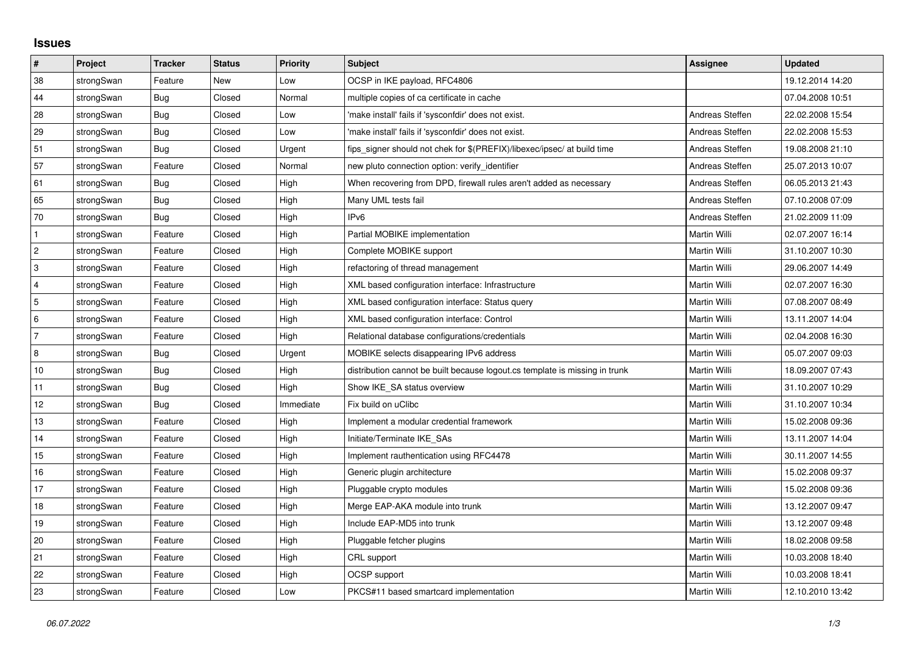## **Issues**

| $\vert$ #      | Project    | <b>Tracker</b> | <b>Status</b> | <b>Priority</b> | <b>Subject</b>                                                              | <b>Assignee</b> | <b>Updated</b>   |
|----------------|------------|----------------|---------------|-----------------|-----------------------------------------------------------------------------|-----------------|------------------|
| 38             | strongSwan | Feature        | <b>New</b>    | Low             | OCSP in IKE payload, RFC4806                                                |                 | 19.12.2014 14:20 |
| 44             | strongSwan | Bug            | Closed        | Normal          | multiple copies of ca certificate in cache                                  |                 | 07.04.2008 10:51 |
| 28             | strongSwan | Bug            | Closed        | Low             | 'make install' fails if 'sysconfdir' does not exist.                        | Andreas Steffen | 22.02.2008 15:54 |
| 29             | strongSwan | Bug            | Closed        | Low             | 'make install' fails if 'sysconfdir' does not exist.                        | Andreas Steffen | 22.02.2008 15:53 |
| 51             | strongSwan | Bug            | Closed        | Urgent          | fips_signer should not chek for \$(PREFIX)/libexec/ipsec/ at build time     | Andreas Steffen | 19.08.2008 21:10 |
| 57             | strongSwan | Feature        | Closed        | Normal          | new pluto connection option: verify identifier                              | Andreas Steffen | 25.07.2013 10:07 |
| 61             | strongSwan | Bug            | Closed        | High            | When recovering from DPD, firewall rules aren't added as necessary          | Andreas Steffen | 06.05.2013 21:43 |
| 65             | strongSwan | Bug            | Closed        | High            | Many UML tests fail                                                         | Andreas Steffen | 07.10.2008 07:09 |
| 70             | strongSwan | Bug            | Closed        | High            | IP <sub>v6</sub>                                                            | Andreas Steffen | 21.02.2009 11:09 |
| $\mathbf{1}$   | strongSwan | Feature        | Closed        | High            | Partial MOBIKE implementation                                               | Martin Willi    | 02.07.2007 16:14 |
| $\overline{c}$ | strongSwan | Feature        | Closed        | High            | Complete MOBIKE support                                                     | Martin Willi    | 31.10.2007 10:30 |
| 3              | strongSwan | Feature        | Closed        | High            | refactoring of thread management                                            | Martin Willi    | 29.06.2007 14:49 |
| $\overline{4}$ | strongSwan | Feature        | Closed        | High            | XML based configuration interface: Infrastructure                           | Martin Willi    | 02.07.2007 16:30 |
| 5              | strongSwan | Feature        | Closed        | High            | XML based configuration interface: Status query                             | Martin Willi    | 07.08.2007 08:49 |
| 6              | strongSwan | Feature        | Closed        | High            | XML based configuration interface: Control                                  | Martin Willi    | 13.11.2007 14:04 |
| 7              | strongSwan | Feature        | Closed        | High            | Relational database configurations/credentials                              | Martin Willi    | 02.04.2008 16:30 |
| 8              | strongSwan | Bug            | Closed        | Urgent          | MOBIKE selects disappearing IPv6 address                                    | Martin Willi    | 05.07.2007 09:03 |
| 10             | strongSwan | Bug            | Closed        | High            | distribution cannot be built because logout.cs template is missing in trunk | Martin Willi    | 18.09.2007 07:43 |
| 11             | strongSwan | Bug            | Closed        | High            | Show IKE_SA status overview                                                 | Martin Willi    | 31.10.2007 10:29 |
| 12             | strongSwan | Bug            | Closed        | Immediate       | Fix build on uClibc                                                         | Martin Willi    | 31.10.2007 10:34 |
| 13             | strongSwan | Feature        | Closed        | High            | Implement a modular credential framework                                    | Martin Willi    | 15.02.2008 09:36 |
| 14             | strongSwan | Feature        | Closed        | High            | Initiate/Terminate IKE_SAs                                                  | Martin Willi    | 13.11.2007 14:04 |
| 15             | strongSwan | Feature        | Closed        | High            | Implement rauthentication using RFC4478                                     | Martin Willi    | 30.11.2007 14:55 |
| 16             | strongSwan | Feature        | Closed        | High            | Generic plugin architecture                                                 | Martin Willi    | 15.02.2008 09:37 |
| 17             | strongSwan | Feature        | Closed        | High            | Pluggable crypto modules                                                    | Martin Willi    | 15.02.2008 09:36 |
| 18             | strongSwan | Feature        | Closed        | High            | Merge EAP-AKA module into trunk                                             | Martin Willi    | 13.12.2007 09:47 |
| 19             | strongSwan | Feature        | Closed        | High            | Include EAP-MD5 into trunk                                                  | Martin Willi    | 13.12.2007 09:48 |
| 20             | strongSwan | Feature        | Closed        | High            | Pluggable fetcher plugins                                                   | Martin Willi    | 18.02.2008 09:58 |
| 21             | strongSwan | Feature        | Closed        | High            | CRL support                                                                 | Martin Willi    | 10.03.2008 18:40 |
| 22             | strongSwan | Feature        | Closed        | High            | <b>OCSP</b> support                                                         | Martin Willi    | 10.03.2008 18:41 |
| 23             | strongSwan | Feature        | Closed        | Low             | PKCS#11 based smartcard implementation                                      | Martin Willi    | 12.10.2010 13:42 |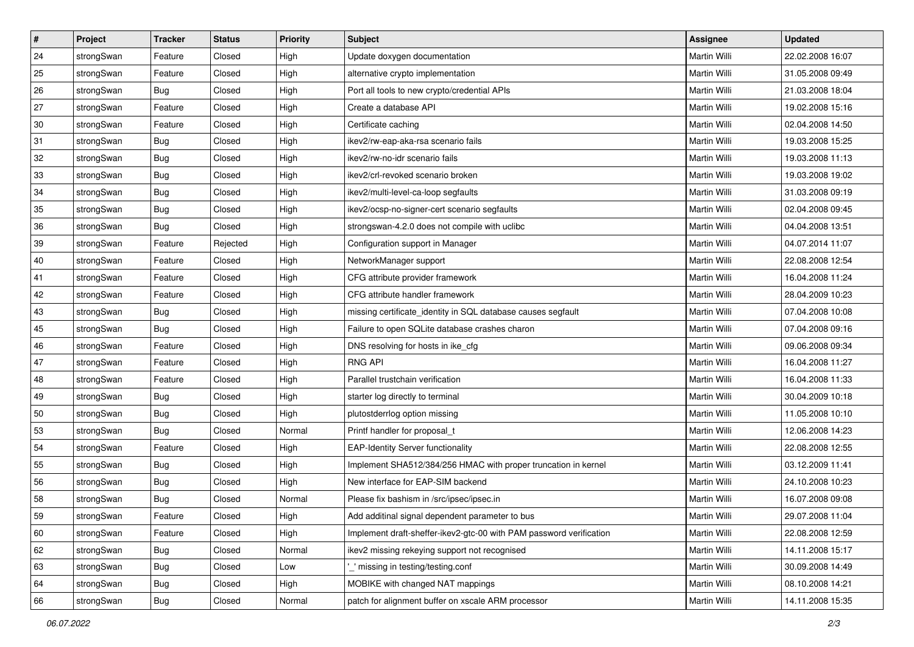| $\sharp$ | Project    | <b>Tracker</b> | <b>Status</b> | Priority | <b>Subject</b>                                                      | <b>Assignee</b>     | <b>Updated</b>   |
|----------|------------|----------------|---------------|----------|---------------------------------------------------------------------|---------------------|------------------|
| 24       | strongSwan | Feature        | Closed        | High     | Update doxygen documentation                                        | Martin Willi        | 22.02.2008 16:07 |
| 25       | strongSwan | Feature        | Closed        | High     | alternative crypto implementation                                   | Martin Willi        | 31.05.2008 09:49 |
| 26       | strongSwan | <b>Bug</b>     | Closed        | High     | Port all tools to new crypto/credential APIs                        | Martin Willi        | 21.03.2008 18:04 |
| 27       | strongSwan | Feature        | Closed        | High     | Create a database API                                               | Martin Willi        | 19.02.2008 15:16 |
| 30       | strongSwan | Feature        | Closed        | High     | Certificate caching                                                 | Martin Willi        | 02.04.2008 14:50 |
| 31       | strongSwan | <b>Bug</b>     | Closed        | High     | ikev2/rw-eap-aka-rsa scenario fails                                 | Martin Willi        | 19.03.2008 15:25 |
| 32       | strongSwan | Bug            | Closed        | High     | ikev2/rw-no-idr scenario fails                                      | Martin Willi        | 19.03.2008 11:13 |
| 33       | strongSwan | Bug            | Closed        | High     | ikev2/crl-revoked scenario broken                                   | Martin Willi        | 19.03.2008 19:02 |
| 34       | strongSwan | <b>Bug</b>     | Closed        | High     | ikev2/multi-level-ca-loop segfaults                                 | Martin Willi        | 31.03.2008 09:19 |
| 35       | strongSwan | <b>Bug</b>     | Closed        | High     | ikev2/ocsp-no-signer-cert scenario segfaults                        | Martin Willi        | 02.04.2008 09:45 |
| 36       | strongSwan | Bug            | Closed        | High     | strongswan-4.2.0 does not compile with uclibc                       | Martin Willi        | 04.04.2008 13:51 |
| 39       | strongSwan | Feature        | Rejected      | High     | Configuration support in Manager                                    | Martin Willi        | 04.07.2014 11:07 |
| 40       | strongSwan | Feature        | Closed        | High     | NetworkManager support                                              | <b>Martin Willi</b> | 22.08.2008 12:54 |
| 41       | strongSwan | Feature        | Closed        | High     | CFG attribute provider framework                                    | Martin Willi        | 16.04.2008 11:24 |
| 42       | strongSwan | Feature        | Closed        | High     | CFG attribute handler framework                                     | Martin Willi        | 28.04.2009 10:23 |
| 43       | strongSwan | <b>Bug</b>     | Closed        | High     | missing certificate_identity in SQL database causes segfault        | <b>Martin Willi</b> | 07.04.2008 10:08 |
| 45       | strongSwan | Bug            | Closed        | High     | Failure to open SQLite database crashes charon                      | Martin Willi        | 07.04.2008 09:16 |
| 46       | strongSwan | Feature        | Closed        | High     | DNS resolving for hosts in ike_cfg                                  | Martin Willi        | 09.06.2008 09:34 |
| 47       | strongSwan | Feature        | Closed        | High     | <b>RNG API</b>                                                      | Martin Willi        | 16.04.2008 11:27 |
| 48       | strongSwan | Feature        | Closed        | High     | Parallel trustchain verification                                    | Martin Willi        | 16.04.2008 11:33 |
| 49       | strongSwan | <b>Bug</b>     | Closed        | High     | starter log directly to terminal                                    | Martin Willi        | 30.04.2009 10:18 |
| 50       | strongSwan | <b>Bug</b>     | Closed        | High     | plutostderrlog option missing                                       | Martin Willi        | 11.05.2008 10:10 |
| 53       | strongSwan | <b>Bug</b>     | Closed        | Normal   | Printf handler for proposal_t                                       | Martin Willi        | 12.06.2008 14:23 |
| 54       | strongSwan | Feature        | Closed        | High     | <b>EAP-Identity Server functionality</b>                            | Martin Willi        | 22.08.2008 12:55 |
| 55       | strongSwan | Bug            | Closed        | High     | Implement SHA512/384/256 HMAC with proper truncation in kernel      | Martin Willi        | 03.12.2009 11:41 |
| 56       | strongSwan | <b>Bug</b>     | Closed        | High     | New interface for EAP-SIM backend                                   | Martin Willi        | 24.10.2008 10:23 |
| 58       | strongSwan | <b>Bug</b>     | Closed        | Normal   | Please fix bashism in /src/ipsec/ipsec.in                           | Martin Willi        | 16.07.2008 09:08 |
| 59       | strongSwan | Feature        | Closed        | High     | Add additinal signal dependent parameter to bus                     | Martin Willi        | 29.07.2008 11:04 |
| 60       | strongSwan | Feature        | Closed        | High     | Implement draft-sheffer-ikev2-gtc-00 with PAM password verification | Martin Willi        | 22.08.2008 12:59 |
| 62       | strongSwan | Bug            | Closed        | Normal   | ikev2 missing rekeying support not recognised                       | Martin Willi        | 14.11.2008 15:17 |
| 63       | strongSwan | Bug            | Closed        | Low      | missing in testing/testing.conf                                     | Martin Willi        | 30.09.2008 14:49 |
| 64       | strongSwan | Bug            | Closed        | High     | MOBIKE with changed NAT mappings                                    | Martin Willi        | 08.10.2008 14:21 |
| 66       | strongSwan | <b>Bug</b>     | Closed        | Normal   | patch for alignment buffer on xscale ARM processor                  | Martin Willi        | 14.11.2008 15:35 |